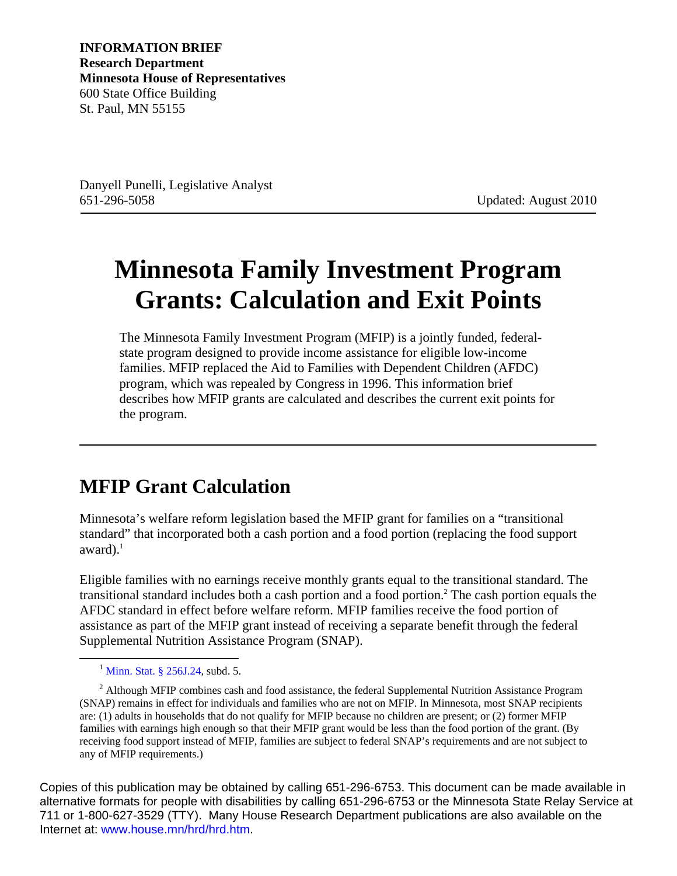**INFORMATION BRIEF Research Department Minnesota House of Representatives** 600 State Office Building St. Paul, MN 55155

Danyell Punelli, Legislative Analyst 651-296-5058 Updated: August 2010

## **Minnesota Family Investment Program Grants: Calculation and Exit Points**

The Minnesota Family Investment Program (MFIP) is a jointly funded, federalstate program designed to provide income assistance for eligible low-income families. MFIP replaced the Aid to Families with Dependent Children (AFDC) program, which was repealed by Congress in 1996. This information brief describes how MFIP grants are calculated and describes the current exit points for the program.

## **MFIP Grant Calculation**

Minnesota's welfare reform legislation based the MFIP grant for families on a "transitional standard" that incorporated both a cash portion and a food portion (replacing the food support award $)$ .<sup>1</sup>

Eligible families with no earnings receive monthly grants equal to the transitional standard. The transitional standard includes both a cash portion and a food portion.2 The cash portion equals the AFDC standard in effect before welfare reform. MFIP families receive the food portion of assistance as part of the MFIP grant instead of receiving a separate benefit through the federal Supplemental Nutrition Assistance Program (SNAP).

Copies of this publication may be obtained by calling 651-296-6753. This document can be made available in alternative formats for people with disabilities by calling 651-296-6753 or the Minnesota State Relay Service at 711 or 1-800-627-3529 (TTY). Many House Research Department publications are also available on the Internet at: [www.house.mn/hrd/hrd.htm.](http://www.house.mn/hrd/hrd.htm)

<sup>&</sup>lt;sup>1</sup> [Minn. Stat. § 256J.24,](https://www.revisor.mn.gov/statutes/?id=256J.24) subd. 5.

 $2$  Although MFIP combines cash and food assistance, the federal Supplemental Nutrition Assistance Program (SNAP) remains in effect for individuals and families who are not on MFIP. In Minnesota, most SNAP recipients are: (1) adults in households that do not qualify for MFIP because no children are present; or (2) former MFIP families with earnings high enough so that their MFIP grant would be less than the food portion of the grant. (By receiving food support instead of MFIP, families are subject to federal SNAP's requirements and are not subject to any of MFIP requirements.)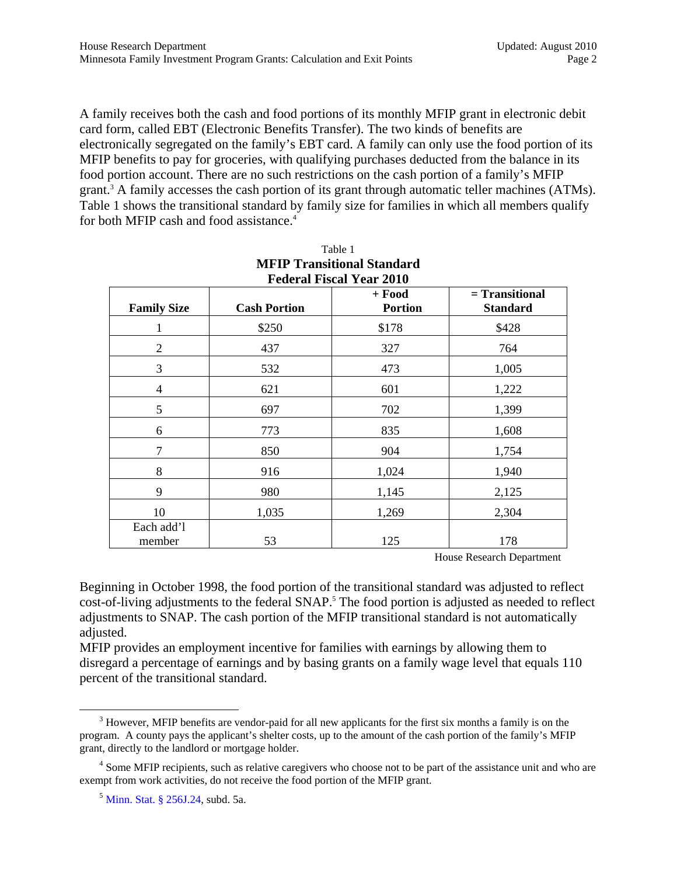A family receives both the cash and food portions of its monthly MFIP grant in electronic debit card form, called EBT (Electronic Benefits Transfer). The two kinds of benefits are electronically segregated on the family's EBT card. A family can only use the food portion of its MFIP benefits to pay for groceries, with qualifying purchases deducted from the balance in its food portion account. There are no such restrictions on the cash portion of a family's MFIP grant.<sup>3</sup> A family accesses the cash portion of its grant through automatic teller machines (ATMs). Table 1 shows the transitional standard by family size for families in which all members qualify for both MFIP cash and food assistance.<sup>4</sup>

| <b>Federal Fiscal Year 2010</b> |                     |                            |                                     |  |  |
|---------------------------------|---------------------|----------------------------|-------------------------------------|--|--|
| <b>Family Size</b>              | <b>Cash Portion</b> | $+$ Food<br><b>Portion</b> | $=$ Transitional<br><b>Standard</b> |  |  |
|                                 | \$250               | \$178                      | \$428                               |  |  |
| $\overline{2}$                  | 437                 | 327                        | 764                                 |  |  |
| 3                               | 532                 | 473                        | 1,005                               |  |  |
| 4                               | 621                 | 601                        | 1,222                               |  |  |
| 5                               | 697                 | 702                        | 1,399                               |  |  |
| 6                               | 773                 | 835                        | 1,608                               |  |  |
| 7                               | 850                 | 904                        | 1,754                               |  |  |
| 8                               | 916                 | 1,024                      | 1,940                               |  |  |
| 9                               | 980                 | 1,145                      | 2,125                               |  |  |
| 10                              | 1,035               | 1,269                      | 2,304                               |  |  |
| Each add'l<br>member            | 53                  | 125                        | 178                                 |  |  |

| Table 1                           |
|-----------------------------------|
| <b>MFIP Transitional Standard</b> |
| <b>Federal Fiscal Year 2010</b>   |

House Research Department

Beginning in October 1998, the food portion of the transitional standard was adjusted to reflect cost-of-living adjustments to the federal SNAP.<sup>5</sup> The food portion is adjusted as needed to reflect adjustments to SNAP. The cash portion of the MFIP transitional standard is not automatically adjusted.

MFIP provides an employment incentive for families with earnings by allowing them to disregard a percentage of earnings and by basing grants on a family wage level that equals 110 percent of the transitional standard.

 $\frac{1}{3}$  $3$  However, MFIP benefits are vendor-paid for all new applicants for the first six months a family is on the program. A county pays the applicant's shelter costs, up to the amount of the cash portion of the family's MFIP grant, directly to the landlord or mortgage holder.

<sup>&</sup>lt;sup>4</sup> Some MFIP recipients, such as relative caregivers who choose not to be part of the assistance unit and who are exempt from work activities, do not receive the food portion of the MFIP grant.

<sup>5</sup> [Minn. Stat. § 256J.24,](https://www.revisor.mn.gov/statutes/?id=256J.24) subd. 5a.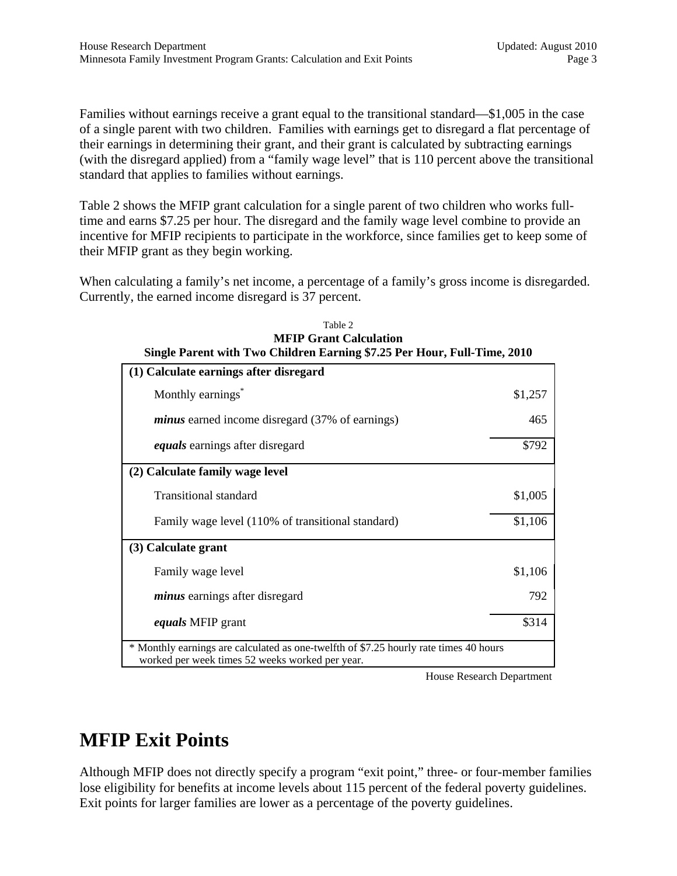Families without earnings receive a grant equal to the transitional standard—\$1,005 in the case of a single parent with two children. Families with earnings get to disregard a flat percentage of their earnings in determining their grant, and their grant is calculated by subtracting earnings (with the disregard applied) from a "family wage level" that is 110 percent above the transitional standard that applies to families without earnings.

Table 2 shows the MFIP grant calculation for a single parent of two children who works fulltime and earns \$7.25 per hour. The disregard and the family wage level combine to provide an incentive for MFIP recipients to participate in the workforce, since families get to keep some of their MFIP grant as they begin working.

When calculating a family's net income, a percentage of a family's gross income is disregarded. Currently, the earned income disregard is 37 percent.

| Single Parent with Two Children Earning \$7.25 Per Hour, Full-Time, 2010                                                                 |         |  |  |
|------------------------------------------------------------------------------------------------------------------------------------------|---------|--|--|
| (1) Calculate earnings after disregard                                                                                                   |         |  |  |
| Monthly earnings <sup>*</sup>                                                                                                            | \$1,257 |  |  |
| <i>minus</i> earned income disregard (37% of earnings)                                                                                   | 465     |  |  |
| <i>equals</i> earnings after disregard                                                                                                   | \$792   |  |  |
| (2) Calculate family wage level                                                                                                          |         |  |  |
| <b>Transitional standard</b>                                                                                                             | \$1,005 |  |  |
| Family wage level (110% of transitional standard)                                                                                        | \$1,106 |  |  |
| (3) Calculate grant                                                                                                                      |         |  |  |
| Family wage level                                                                                                                        | \$1,106 |  |  |
| <i>minus</i> earnings after disregard                                                                                                    | 792     |  |  |
| <i>equals</i> MFIP grant                                                                                                                 | \$314   |  |  |
| * Monthly earnings are calculated as one-twelfth of \$7.25 hourly rate times 40 hours<br>worked per week times 52 weeks worked per year. |         |  |  |

| Table 2                                                                 |  |
|-------------------------------------------------------------------------|--|
| <b>MFIP Grant Calculation</b>                                           |  |
| ingle Parent with Two Children Earning \$7.25 Per Hour, Full-Time, 2010 |  |

House Research Department

## **MFIP Exit Points**

Although MFIP does not directly specify a program "exit point," three- or four-member families lose eligibility for benefits at income levels about 115 percent of the federal poverty guidelines. Exit points for larger families are lower as a percentage of the poverty guidelines.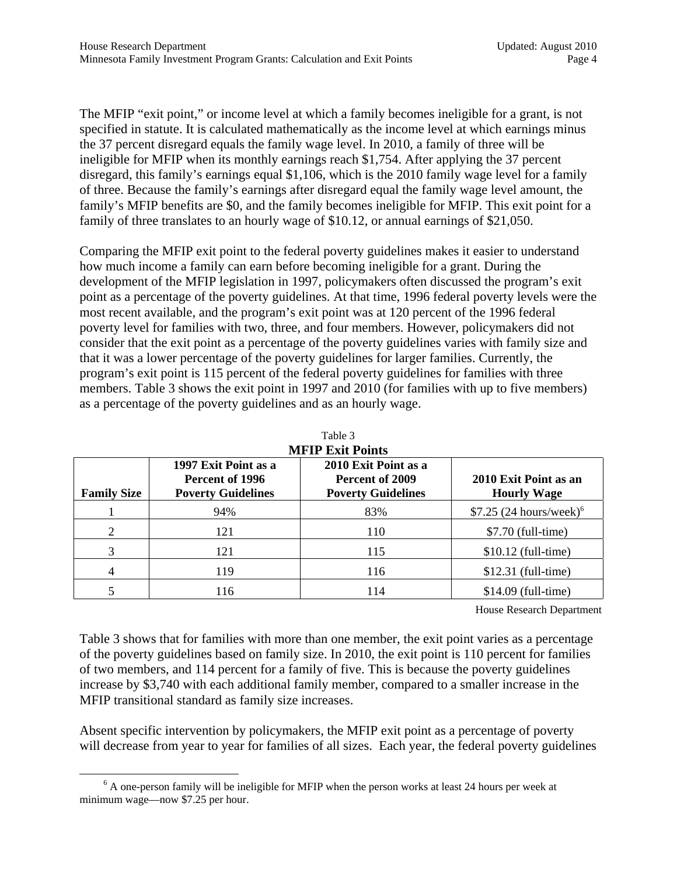The MFIP "exit point," or income level at which a family becomes ineligible for a grant, is not specified in statute. It is calculated mathematically as the income level at which earnings minus the 37 percent disregard equals the family wage level. In 2010, a family of three will be ineligible for MFIP when its monthly earnings reach \$1,754. After applying the 37 percent disregard, this family's earnings equal \$1,106, which is the 2010 family wage level for a family of three. Because the family's earnings after disregard equal the family wage level amount, the family's MFIP benefits are \$0, and the family becomes ineligible for MFIP. This exit point for a family of three translates to an hourly wage of \$10.12, or annual earnings of \$21,050.

Comparing the MFIP exit point to the federal poverty guidelines makes it easier to understand how much income a family can earn before becoming ineligible for a grant. During the development of the MFIP legislation in 1997, policymakers often discussed the program's exit point as a percentage of the poverty guidelines. At that time, 1996 federal poverty levels were the most recent available, and the program's exit point was at 120 percent of the 1996 federal poverty level for families with two, three, and four members. However, policymakers did not consider that the exit point as a percentage of the poverty guidelines varies with family size and that it was a lower percentage of the poverty guidelines for larger families. Currently, the program's exit point is 115 percent of the federal poverty guidelines for families with three members. Table 3 shows the exit point in 1997 and 2010 (for families with up to five members) as a percentage of the poverty guidelines and as an hourly wage.

| <b>Family Size</b> | 1997 Exit Point as a<br>Percent of 1996<br><b>Poverty Guidelines</b> | 2010 Exit Point as a<br>Percent of 2009<br><b>Poverty Guidelines</b> | 2010 Exit Point as an<br><b>Hourly Wage</b> |
|--------------------|----------------------------------------------------------------------|----------------------------------------------------------------------|---------------------------------------------|
|                    | 94%                                                                  | 83%                                                                  | $$7.25 (24 hours/week)^6$                   |
| 2                  | 121                                                                  | 110                                                                  | $$7.70$ (full-time)                         |
| 3                  | 121                                                                  | 115                                                                  | $$10.12$ (full-time)                        |
| 4                  | 119                                                                  | 116                                                                  | $$12.31$ (full-time)                        |
|                    | 116                                                                  | 114                                                                  | $$14.09$ (full-time)                        |

Table 3 **MFIP Exit Points** 

House Research Department

Table 3 shows that for families with more than one member, the exit point varies as a percentage of the poverty guidelines based on family size. In 2010, the exit point is 110 percent for families of two members, and 114 percent for a family of five. This is because the poverty guidelines increase by \$3,740 with each additional family member, compared to a smaller increase in the MFIP transitional standard as family size increases.

Absent specific intervention by policymakers, the MFIP exit point as a percentage of poverty will decrease from year to year for families of all sizes. Each year, the federal poverty guidelines

 $\overline{\phantom{0}}$  $6$  A one-person family will be ineligible for MFIP when the person works at least 24 hours per week at minimum wage—now \$7.25 per hour.